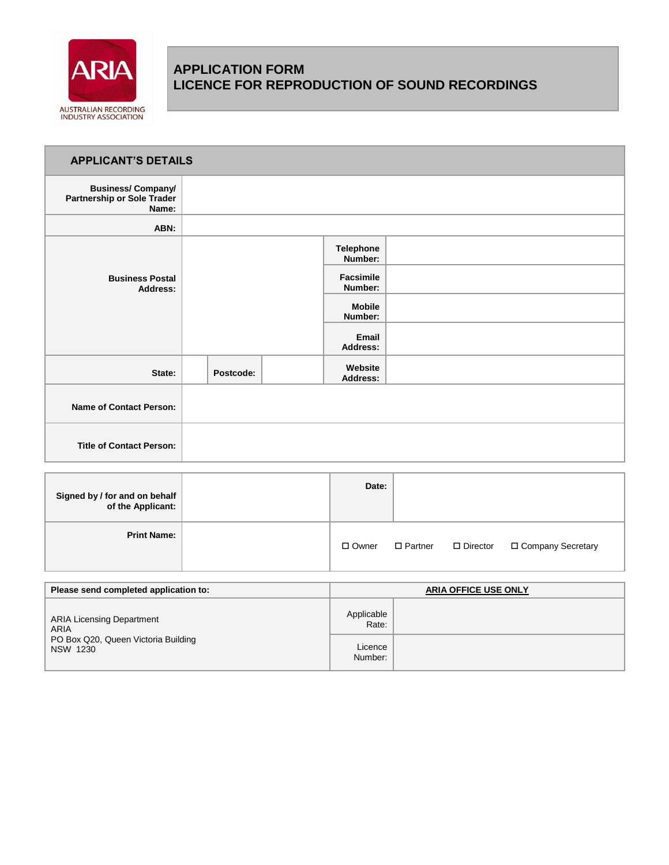

# **APPLICATION FORM LICENCE FOR REPRODUCTION OF SOUND RECORDINGS**

| <b>APPLICANT'S DETAILS</b>                                             |           |                             |  |
|------------------------------------------------------------------------|-----------|-----------------------------|--|
| <b>Business/Company/</b><br><b>Partnership or Sole Trader</b><br>Name: |           |                             |  |
| ABN:                                                                   |           |                             |  |
|                                                                        |           | <b>Telephone</b><br>Number: |  |
| <b>Business Postal</b><br><b>Address:</b>                              |           | <b>Facsimile</b><br>Number: |  |
|                                                                        |           | <b>Mobile</b><br>Number:    |  |
|                                                                        |           | Email<br><b>Address:</b>    |  |
| State:                                                                 | Postcode: | Website<br><b>Address:</b>  |  |
| <b>Name of Contact Person:</b>                                         |           |                             |  |
| <b>Title of Contact Person:</b>                                        |           |                             |  |

| Signed by / for and on behalf<br>of the Applicant: | Date:        |                |                 |                     |
|----------------------------------------------------|--------------|----------------|-----------------|---------------------|
| <b>Print Name:</b>                                 | $\Box$ Owner | $\Box$ Partner | $\Box$ Director | □ Company Secretary |

| Please send completed application to:                  |                     | <b>ARIA OFFICE USE ONLY</b> |
|--------------------------------------------------------|---------------------|-----------------------------|
| <b>ARIA Licensing Department</b><br><b>ARIA</b>        | Applicable<br>Rate: |                             |
| PO Box Q20, Queen Victoria Building<br><b>NSW 1230</b> | Licence<br>Number:  |                             |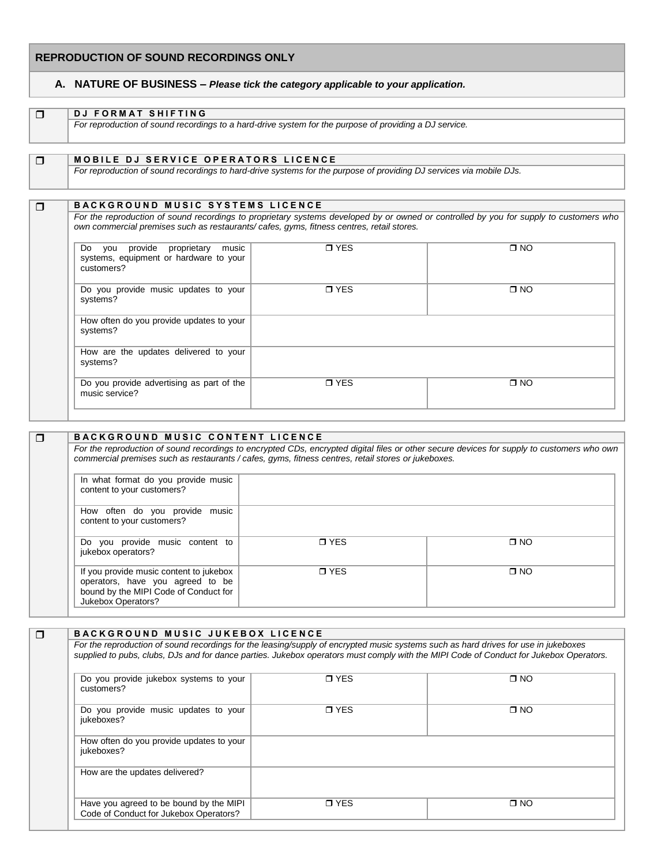# **REPRODUCTION OF SOUND RECORDINGS ONLY**

## **A. NATURE OF BUSINESS –** *Please tick the category applicable to your application.*

| $\Box$ | <b>DJ FORMAT SHIFTING</b>                                                                                                                                                                                                      |                |                                                                                                                                        |
|--------|--------------------------------------------------------------------------------------------------------------------------------------------------------------------------------------------------------------------------------|----------------|----------------------------------------------------------------------------------------------------------------------------------------|
|        | For reproduction of sound recordings to a hard-drive system for the purpose of providing a DJ service.                                                                                                                         |                |                                                                                                                                        |
|        |                                                                                                                                                                                                                                |                |                                                                                                                                        |
| $\Box$ | <b>MOBILE DJ SERVICE OPERATORS LICENCE</b>                                                                                                                                                                                     |                |                                                                                                                                        |
|        | For reproduction of sound recordings to hard-drive systems for the purpose of providing DJ services via mobile DJs.                                                                                                            |                |                                                                                                                                        |
|        |                                                                                                                                                                                                                                |                |                                                                                                                                        |
| $\Box$ | <b>BACKGROUND MUSIC SYSTEMS LICENCE</b>                                                                                                                                                                                        |                |                                                                                                                                        |
|        | own commercial premises such as restaurants/cafes, gyms, fitness centres, retail stores.                                                                                                                                       |                | For the reproduction of sound recordings to proprietary systems developed by or owned or controlled by you for supply to customers who |
|        | provide proprietary<br>Do you<br>music<br>systems, equipment or hardware to your<br>customers?                                                                                                                                 | $\sqcap$ YES   | $\Box$ NO                                                                                                                              |
|        | Production of the contraction of the contract of the contraction of the contraction of the contract of the contract of the contract of the contract of the contract of the contract of the contract of the contract of the con | $\blacksquare$ | $- \cdot -$                                                                                                                            |

| Do you provide music updates to your<br>systems?            | <b>D</b> YES | $\square$ NO |
|-------------------------------------------------------------|--------------|--------------|
| How often do you provide updates to your<br>systems?        |              |              |
| How are the updates delivered to your<br>systems?           |              |              |
| Do you provide advertising as part of the<br>music service? | <b>D</b> YES | $\square$ NO |

| $\Box$ | <b>BACKGROUND MUSIC CONTENT LICENCE</b>                                                                                                    |                                                                                                     |                                                                                                                                            |
|--------|--------------------------------------------------------------------------------------------------------------------------------------------|-----------------------------------------------------------------------------------------------------|--------------------------------------------------------------------------------------------------------------------------------------------|
|        |                                                                                                                                            | commercial premises such as restaurants / cafes, gyms, fitness centres, retail stores or jukeboxes. | For the reproduction of sound recordings to encrypted CDs, encrypted digital files or other secure devices for supply to customers who own |
|        | In what format do you provide music<br>content to your customers?                                                                          |                                                                                                     |                                                                                                                                            |
|        | How often do you provide music<br>content to your customers?                                                                               |                                                                                                     |                                                                                                                                            |
|        | Do you provide music content to<br>jukebox operators?                                                                                      | <b>T</b> YES                                                                                        | $\Box$ NO                                                                                                                                  |
|        | If you provide music content to jukebox<br>operators, have you agreed to be<br>bound by the MIPI Code of Conduct for<br>Jukebox Operators? | <b>T</b> YES                                                                                        | $\Box$ NO                                                                                                                                  |

| Do you provide jukebox systems to your<br>customers?   | <b>T</b> YES | $\Box$ NO |
|--------------------------------------------------------|--------------|-----------|
| Do you provide music updates to your<br>jukeboxes?     | <b>T</b> YES | $\Box$ NO |
| How often do you provide updates to your<br>jukeboxes? |              |           |
| How are the updates delivered?                         |              |           |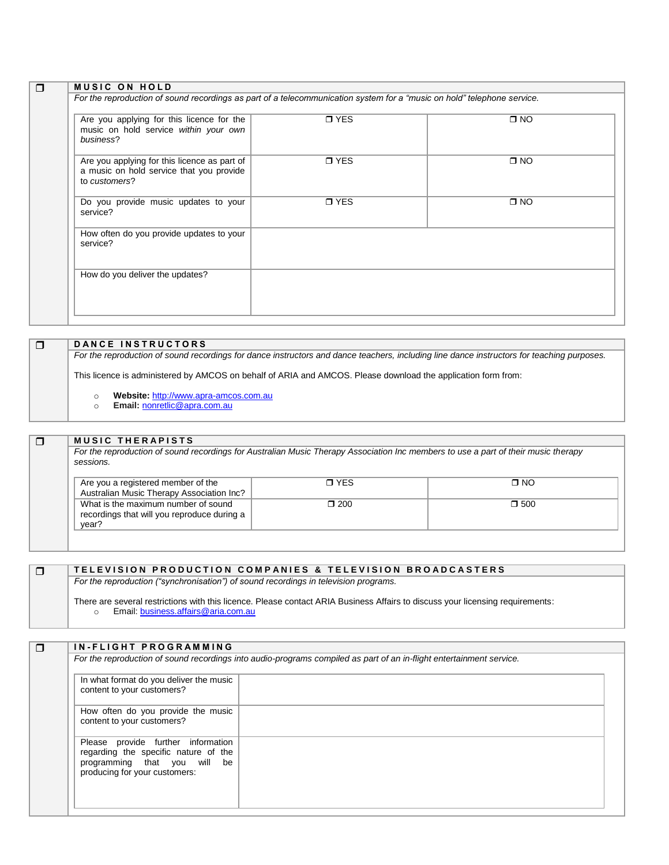| Are you applying for this licence for the<br>music on hold service within your own<br>business?           | $\blacksquare$ YES | $\square$ NO |
|-----------------------------------------------------------------------------------------------------------|--------------------|--------------|
| Are you applying for this licence as part of<br>a music on hold service that you provide<br>to customers? | <b>D</b> YES       | $\square$ NO |
| Do you provide music updates to your<br>service?                                                          | $\sqcap$ YES       | $\square$ NO |
| How often do you provide updates to your<br>service?                                                      |                    |              |
| How do you deliver the updates?                                                                           |                    |              |

**DANCE INSTRUCTORS** *For the reproduction of sound recordings for dance instructors and dance teachers, including line dance instructors for teaching purposes.* This licence is administered by AMCOS on behalf of ARIA and AMCOS. Please download the application form from:

- o **Website:** [http://www.apra-amcos.com.au](http://www.apra-amcos.com.au/)
	- o **Email:** [nonretlic@apra.com.au](mailto:nonretlic@apra.com.au)

#### **MUSIC THE RAPISTS**

*For the reproduction of sound recordings for Australian Music Therapy Association Inc members to use a part of their music therapy sessions.*

| Are you a registered member of the<br>Australian Music Therapy Association Inc?             | <b>n</b> YES  | ∩ NO       |
|---------------------------------------------------------------------------------------------|---------------|------------|
| What is the maximum number of sound<br>recordings that will you reproduce during a<br>vear? | $\square$ 200 | $\Box$ 500 |

### **T E L E V I S I O N P R O D U C T I O N C O M P A N I E S & T E L E V I S I O N B R O A D C A S T E R S**

*For the reproduction ("synchronisation") of sound recordings in television programs.*

There are several restrictions with this licence. Please contact ARIA Business Affairs to discuss your licensing requirements:<br>
o Email: business.affairs@aria.com.au Email[: business.affairs@aria.com.au](mailto:business.affairs@aria.com.au)

| In what format do you deliver the music                       |  |
|---------------------------------------------------------------|--|
| content to your customers?                                    |  |
| How often do you provide the music                            |  |
| content to your customers?                                    |  |
| Please provide further information                            |  |
| regarding the specific nature of the                          |  |
| programming that you will be<br>producing for your customers: |  |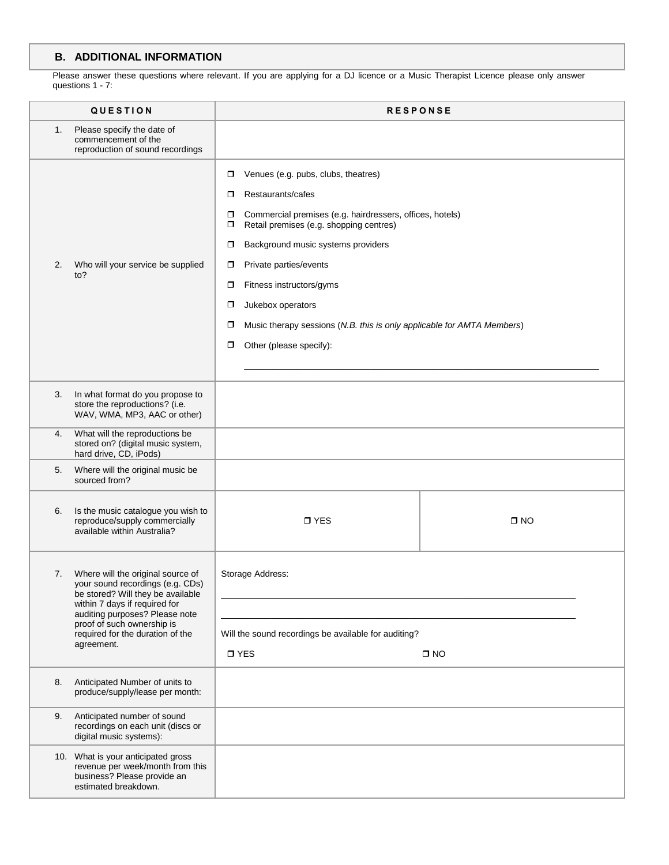### **B. ADDITIONAL INFORMATION**

Please answer these questions where relevant. If you are applying for a DJ licence or a Music Therapist Licence please only answer questions 1 - 7:

| <b>QUESTION</b> |                                                                                                                                             |                                                                                                                                                                                                                                                                                                                                                                                                                                                                                 | <b>RESPONSE</b> |
|-----------------|---------------------------------------------------------------------------------------------------------------------------------------------|---------------------------------------------------------------------------------------------------------------------------------------------------------------------------------------------------------------------------------------------------------------------------------------------------------------------------------------------------------------------------------------------------------------------------------------------------------------------------------|-----------------|
| 1.              | Please specify the date of<br>commencement of the<br>reproduction of sound recordings                                                       |                                                                                                                                                                                                                                                                                                                                                                                                                                                                                 |                 |
| 2.              | Who will your service be supplied<br>to?                                                                                                    | Venues (e.g. pubs, clubs, theatres)<br>$\Box$<br>Restaurants/cafes<br>$\Box$<br>Commercial premises (e.g. hairdressers, offices, hotels)<br>$\Box$<br>Retail premises (e.g. shopping centres)<br>σ<br>Background music systems providers<br>$\Box$<br>Private parties/events<br>$\Box$<br>Fitness instructors/gyms<br>$\Box$<br>Jukebox operators<br>◘<br>Music therapy sessions (N.B. this is only applicable for AMTA Members)<br>$\Box$<br>Other (please specify):<br>$\Box$ |                 |
| 3.              | In what format do you propose to<br>store the reproductions? (i.e.<br>WAV, WMA, MP3, AAC or other)                                          |                                                                                                                                                                                                                                                                                                                                                                                                                                                                                 |                 |
| 4.              | What will the reproductions be<br>stored on? (digital music system,<br>hard drive, CD, iPods)                                               |                                                                                                                                                                                                                                                                                                                                                                                                                                                                                 |                 |
| 5.              | Where will the original music be<br>sourced from?                                                                                           |                                                                                                                                                                                                                                                                                                                                                                                                                                                                                 |                 |
| 6.              | Is the music catalogue you wish to<br>reproduce/supply commercially<br>available within Australia?                                          | $\n  T YES$                                                                                                                                                                                                                                                                                                                                                                                                                                                                     | $\square$ NO    |
| 7.              | Where will the original source of<br>your sound recordings (e.g. CDs)<br>be stored? Will they be available<br>within 7 days if required for | Storage Address:                                                                                                                                                                                                                                                                                                                                                                                                                                                                |                 |
|                 | auditing purposes? Please note<br>proof of such ownership is<br>required for the duration of the<br>agreement.                              | Will the sound recordings be available for auditing?<br>$\square$ YES<br>$\square$ NO                                                                                                                                                                                                                                                                                                                                                                                           |                 |
| 8.              | Anticipated Number of units to<br>produce/supply/lease per month:                                                                           |                                                                                                                                                                                                                                                                                                                                                                                                                                                                                 |                 |
| 9.              | Anticipated number of sound<br>recordings on each unit (discs or<br>digital music systems):                                                 |                                                                                                                                                                                                                                                                                                                                                                                                                                                                                 |                 |
|                 | 10. What is your anticipated gross<br>revenue per week/month from this<br>business? Please provide an<br>estimated breakdown.               |                                                                                                                                                                                                                                                                                                                                                                                                                                                                                 |                 |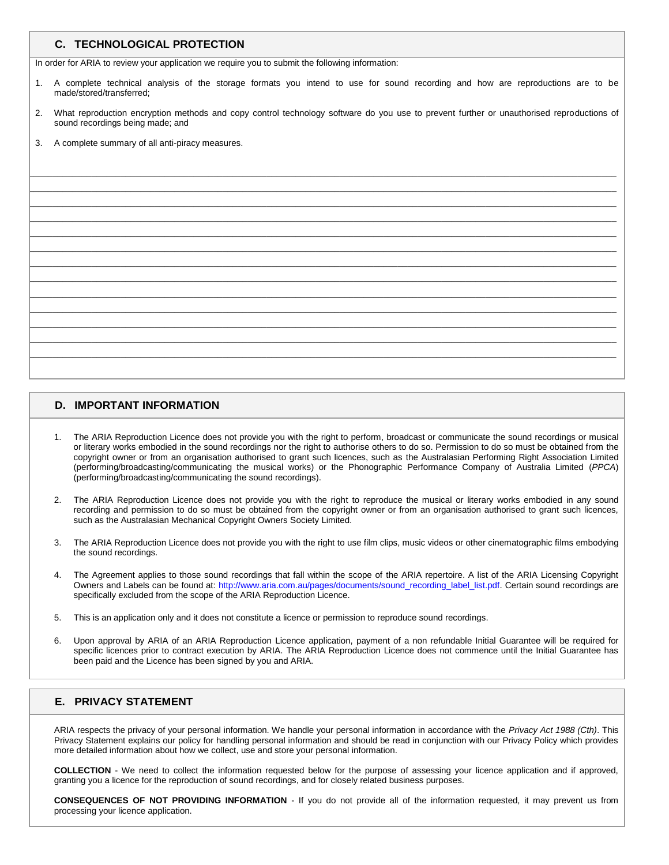#### **C. TECHNOLOGICAL PROTECTION**

In order for ARIA to review your application we require you to submit the following information:

- 1. A complete technical analysis of the storage formats you intend to use for sound recording and how are reproductions are to be made/stored/transferred;
- 2. What reproduction encryption methods and copy control technology software do you use to prevent further or unauthorised reproductions of sound recordings being made; and

 $\mathcal{L} = \{ \mathcal{L} = \{ \mathcal{L} = \{ \mathcal{L} = \{ \mathcal{L} = \{ \mathcal{L} = \{ \mathcal{L} = \{ \mathcal{L} = \{ \mathcal{L} = \{ \mathcal{L} = \{ \mathcal{L} = \{ \mathcal{L} = \{ \mathcal{L} = \{ \mathcal{L} = \{ \mathcal{L} = \{ \mathcal{L} = \{ \mathcal{L} = \{ \mathcal{L} = \{ \mathcal{L} = \{ \mathcal{L} = \{ \mathcal{L} = \{ \mathcal{L} = \{ \mathcal{L} = \{ \mathcal{L} = \{ \mathcal{$  $\mathcal{L} = \{ \mathcal{L} = \{ \mathcal{L} = \{ \mathcal{L} = \{ \mathcal{L} = \{ \mathcal{L} = \{ \mathcal{L} = \{ \mathcal{L} = \{ \mathcal{L} = \{ \mathcal{L} = \{ \mathcal{L} = \{ \mathcal{L} = \{ \mathcal{L} = \{ \mathcal{L} = \{ \mathcal{L} = \{ \mathcal{L} = \{ \mathcal{L} = \{ \mathcal{L} = \{ \mathcal{L} = \{ \mathcal{L} = \{ \mathcal{L} = \{ \mathcal{L} = \{ \mathcal{L} = \{ \mathcal{L} = \{ \mathcal{$  $\mathcal{L} = \{ \mathcal{L} = \{ \mathcal{L} = \{ \mathcal{L} = \{ \mathcal{L} = \{ \mathcal{L} = \{ \mathcal{L} = \{ \mathcal{L} = \{ \mathcal{L} = \{ \mathcal{L} = \{ \mathcal{L} = \{ \mathcal{L} = \{ \mathcal{L} = \{ \mathcal{L} = \{ \mathcal{L} = \{ \mathcal{L} = \{ \mathcal{L} = \{ \mathcal{L} = \{ \mathcal{L} = \{ \mathcal{L} = \{ \mathcal{L} = \{ \mathcal{L} = \{ \mathcal{L} = \{ \mathcal{L} = \{ \mathcal{$  $\mathcal{L} = \{ \mathcal{L} = \{ \mathcal{L} = \{ \mathcal{L} = \{ \mathcal{L} = \{ \mathcal{L} = \{ \mathcal{L} = \{ \mathcal{L} = \{ \mathcal{L} = \{ \mathcal{L} = \{ \mathcal{L} = \{ \mathcal{L} = \{ \mathcal{L} = \{ \mathcal{L} = \{ \mathcal{L} = \{ \mathcal{L} = \{ \mathcal{L} = \{ \mathcal{L} = \{ \mathcal{L} = \{ \mathcal{L} = \{ \mathcal{L} = \{ \mathcal{L} = \{ \mathcal{L} = \{ \mathcal{L} = \{ \mathcal{$  $\mathcal{L} = \{ \mathcal{L} = \{ \mathcal{L} = \{ \mathcal{L} = \{ \mathcal{L} = \{ \mathcal{L} = \{ \mathcal{L} = \{ \mathcal{L} = \{ \mathcal{L} = \{ \mathcal{L} = \{ \mathcal{L} = \{ \mathcal{L} = \{ \mathcal{L} = \{ \mathcal{L} = \{ \mathcal{L} = \{ \mathcal{L} = \{ \mathcal{L} = \{ \mathcal{L} = \{ \mathcal{L} = \{ \mathcal{L} = \{ \mathcal{L} = \{ \mathcal{L} = \{ \mathcal{L} = \{ \mathcal{L} = \{ \mathcal{$  $\mathcal{L} = \{ \mathcal{L} = \{ \mathcal{L} = \{ \mathcal{L} = \{ \mathcal{L} = \{ \mathcal{L} = \{ \mathcal{L} = \{ \mathcal{L} = \{ \mathcal{L} = \{ \mathcal{L} = \{ \mathcal{L} = \{ \mathcal{L} = \{ \mathcal{L} = \{ \mathcal{L} = \{ \mathcal{L} = \{ \mathcal{L} = \{ \mathcal{L} = \{ \mathcal{L} = \{ \mathcal{L} = \{ \mathcal{L} = \{ \mathcal{L} = \{ \mathcal{L} = \{ \mathcal{L} = \{ \mathcal{L} = \{ \mathcal{$  $\mathcal{L} = \{ \mathcal{L} = \{ \mathcal{L} = \{ \mathcal{L} = \{ \mathcal{L} = \{ \mathcal{L} = \{ \mathcal{L} = \{ \mathcal{L} = \{ \mathcal{L} = \{ \mathcal{L} = \{ \mathcal{L} = \{ \mathcal{L} = \{ \mathcal{L} = \{ \mathcal{L} = \{ \mathcal{L} = \{ \mathcal{L} = \{ \mathcal{L} = \{ \mathcal{L} = \{ \mathcal{L} = \{ \mathcal{L} = \{ \mathcal{L} = \{ \mathcal{L} = \{ \mathcal{L} = \{ \mathcal{L} = \{ \mathcal{$  $\mathcal{L} = \{ \mathcal{L} = \{ \mathcal{L} = \{ \mathcal{L} = \{ \mathcal{L} = \{ \mathcal{L} = \{ \mathcal{L} = \{ \mathcal{L} = \{ \mathcal{L} = \{ \mathcal{L} = \{ \mathcal{L} = \{ \mathcal{L} = \{ \mathcal{L} = \{ \mathcal{L} = \{ \mathcal{L} = \{ \mathcal{L} = \{ \mathcal{L} = \{ \mathcal{L} = \{ \mathcal{L} = \{ \mathcal{L} = \{ \mathcal{L} = \{ \mathcal{L} = \{ \mathcal{L} = \{ \mathcal{L} = \{ \mathcal{$  $\mathcal{L} = \{ \mathcal{L} = \{ \mathcal{L} = \{ \mathcal{L} = \{ \mathcal{L} = \{ \mathcal{L} = \{ \mathcal{L} = \{ \mathcal{L} = \{ \mathcal{L} = \{ \mathcal{L} = \{ \mathcal{L} = \{ \mathcal{L} = \{ \mathcal{L} = \{ \mathcal{L} = \{ \mathcal{L} = \{ \mathcal{L} = \{ \mathcal{L} = \{ \mathcal{L} = \{ \mathcal{L} = \{ \mathcal{L} = \{ \mathcal{L} = \{ \mathcal{L} = \{ \mathcal{L} = \{ \mathcal{L} = \{ \mathcal{$  $\mathcal{L} = \{ \mathcal{L} = \{ \mathcal{L} = \{ \mathcal{L} = \{ \mathcal{L} = \{ \mathcal{L} = \{ \mathcal{L} = \{ \mathcal{L} = \{ \mathcal{L} = \{ \mathcal{L} = \{ \mathcal{L} = \{ \mathcal{L} = \{ \mathcal{L} = \{ \mathcal{L} = \{ \mathcal{L} = \{ \mathcal{L} = \{ \mathcal{L} = \{ \mathcal{L} = \{ \mathcal{L} = \{ \mathcal{L} = \{ \mathcal{L} = \{ \mathcal{L} = \{ \mathcal{L} = \{ \mathcal{L} = \{ \mathcal{$  $\mathcal{L} = \{ \mathcal{L} = \{ \mathcal{L} = \{ \mathcal{L} = \{ \mathcal{L} = \{ \mathcal{L} = \{ \mathcal{L} = \{ \mathcal{L} = \{ \mathcal{L} = \{ \mathcal{L} = \{ \mathcal{L} = \{ \mathcal{L} = \{ \mathcal{L} = \{ \mathcal{L} = \{ \mathcal{L} = \{ \mathcal{L} = \{ \mathcal{L} = \{ \mathcal{L} = \{ \mathcal{L} = \{ \mathcal{L} = \{ \mathcal{L} = \{ \mathcal{L} = \{ \mathcal{L} = \{ \mathcal{L} = \{ \mathcal{$  $\mathcal{L} = \{ \mathcal{L} = \{ \mathcal{L} = \{ \mathcal{L} = \{ \mathcal{L} = \{ \mathcal{L} = \{ \mathcal{L} = \{ \mathcal{L} = \{ \mathcal{L} = \{ \mathcal{L} = \{ \mathcal{L} = \{ \mathcal{L} = \{ \mathcal{L} = \{ \mathcal{L} = \{ \mathcal{L} = \{ \mathcal{L} = \{ \mathcal{L} = \{ \mathcal{L} = \{ \mathcal{L} = \{ \mathcal{L} = \{ \mathcal{L} = \{ \mathcal{L} = \{ \mathcal{L} = \{ \mathcal{L} = \{ \mathcal{$  $\mathcal{L} = \{ \mathcal{L} = \{ \mathcal{L} = \{ \mathcal{L} = \{ \mathcal{L} = \{ \mathcal{L} = \{ \mathcal{L} = \{ \mathcal{L} = \{ \mathcal{L} = \{ \mathcal{L} = \{ \mathcal{L} = \{ \mathcal{L} = \{ \mathcal{L} = \{ \mathcal{L} = \{ \mathcal{L} = \{ \mathcal{L} = \{ \mathcal{L} = \{ \mathcal{L} = \{ \mathcal{L} = \{ \mathcal{L} = \{ \mathcal{L} = \{ \mathcal{L} = \{ \mathcal{L} = \{ \mathcal{L} = \{ \mathcal{$ 

A complete summary of all anti-piracy measures.

#### **D. IMPORTANT INFORMATION**

- 1. The ARIA Reproduction Licence does not provide you with the right to perform, broadcast or communicate the sound recordings or musical or literary works embodied in the sound recordings nor the right to authorise others to do so. Permission to do so must be obtained from the copyright owner or from an organisation authorised to grant such licences, such as the Australasian Performing Right Association Limited (performing/broadcasting/communicating the musical works) or the Phonographic Performance Company of Australia Limited (*PPCA*) (performing/broadcasting/communicating the sound recordings).
- 2. The ARIA Reproduction Licence does not provide you with the right to reproduce the musical or literary works embodied in any sound recording and permission to do so must be obtained from the copyright owner or from an organisation authorised to grant such licences, such as the Australasian Mechanical Copyright Owners Society Limited.
- 3. The ARIA Reproduction Licence does not provide you with the right to use film clips, music videos or other cinematographic films embodying the sound recordings.
- 4. The Agreement applies to those sound recordings that fall within the scope of the ARIA repertoire. A list of the ARIA Licensing Copyright Owners and Labels can be found at: [http://www.aria.com.au/pages/documents/sound\\_recording\\_label\\_list.pdf.](http://www.aria.com.au/pages/documents/sound_recording_label_list.pdf) Certain sound recordings are specifically excluded from the scope of the ARIA Reproduction Licence.
- 5. This is an application only and it does not constitute a licence or permission to reproduce sound recordings.
- 6. Upon approval by ARIA of an ARIA Reproduction Licence application, payment of a non refundable Initial Guarantee will be required for specific licences prior to contract execution by ARIA. The ARIA Reproduction Licence does not commence until the Initial Guarantee has been paid and the Licence has been signed by you and ARIA.

### **E. PRIVACY STATEMENT**

ARIA respects the privacy of your personal information. We handle your personal information in accordance with the *Privacy Act 1988 (Cth)*. This Privacy Statement explains our policy for handling personal information and should be read in conjunction with our Privacy Policy which provides more detailed information about how we collect, use and store your personal information.

**COLLECTION** - We need to collect the information requested below for the purpose of assessing your licence application and if approved, granting you a licence for the reproduction of sound recordings, and for closely related business purposes.

**CONSEQUENCES OF NOT PROVIDING INFORMATION** - If you do not provide all of the information requested, it may prevent us from processing your licence application.